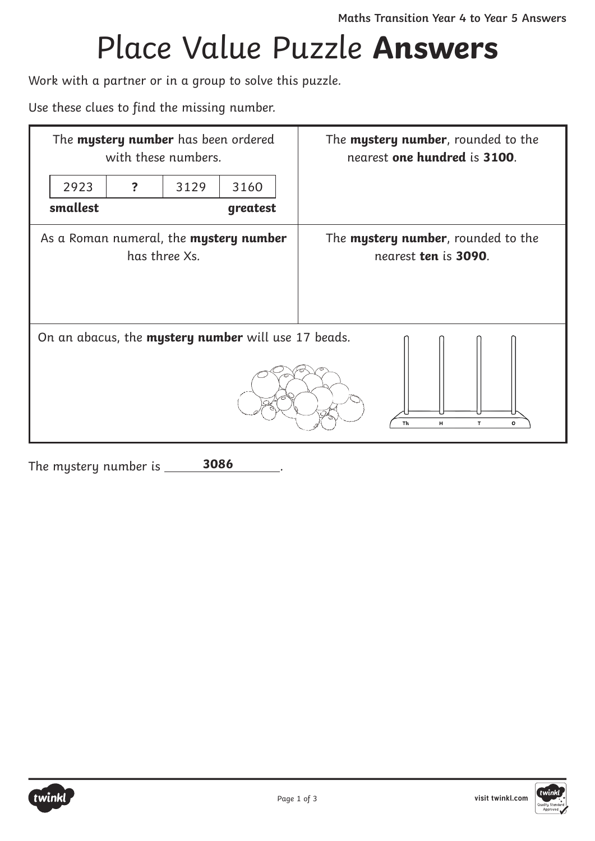## Place Value Puzzle **Answers**

Work with a partner or in a group to solve this puzzle.

Use these clues to find the missing number.

| The mystery number has been ordered<br>with these numbers.                          |   |      |          | The <b>mystery number</b> , rounded to the<br>nearest one hundred is 3100. |
|-------------------------------------------------------------------------------------|---|------|----------|----------------------------------------------------------------------------|
| 2923                                                                                | ? | 3129 | 3160     |                                                                            |
| smallest                                                                            |   |      | greatest |                                                                            |
| As a Roman numeral, the mystery number<br>has three Xs.                             |   |      |          | The <b>mystery number</b> , rounded to the<br>nearest ten is 3090.         |
| On an abacus, the mystery number will use 17 beads.<br>Th<br>н<br>$\mathbf{r}$<br>O |   |      |          |                                                                            |

The mystery number is . **3086**



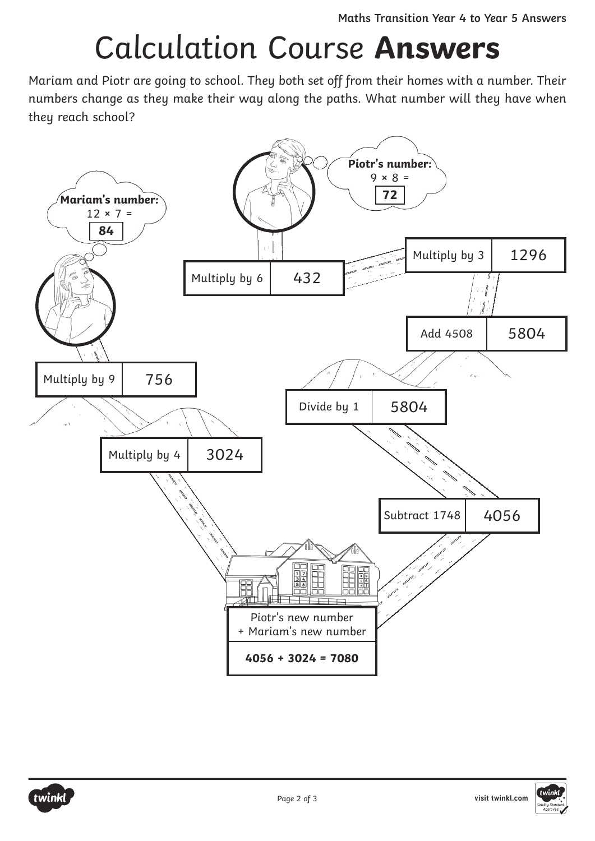## Calculation Course **Answers**

Mariam and Piotr are going to school. They both set off from their homes with a number. Their numbers change as they make their way along the paths. What number will they have when they reach school?